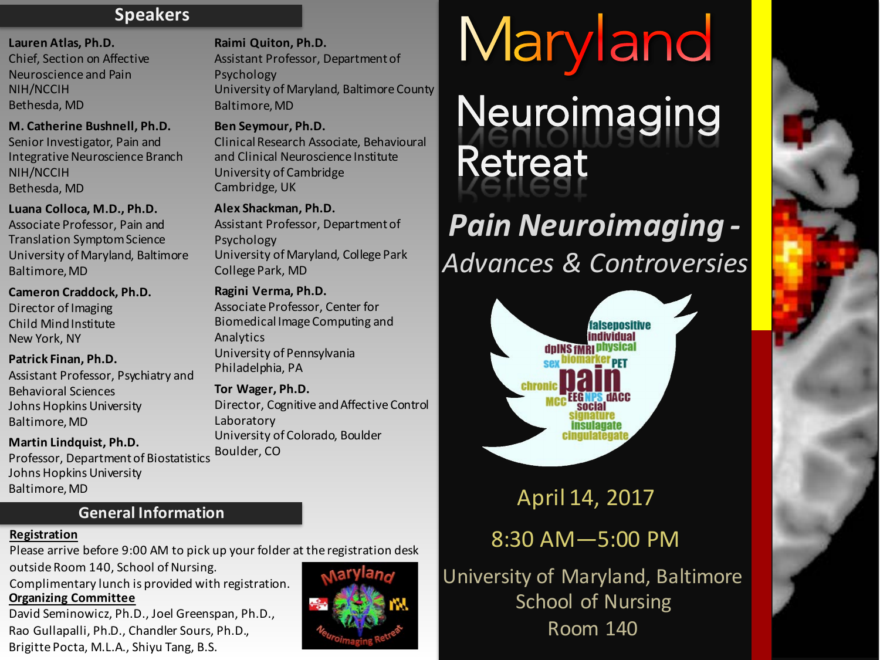# **Speakers**

#### Lauren Atlas, Ph.D.

Chief, Section on Affective Neuroscience and Pain NIH/NCCIH Bethesda, MD

**M. Catherine Bushnell, Ph.D.**  Senior Investigator, Pain and Integrative Neuroscience Branch NIH/NCCIH Bethesda, MD

Luana Colloca, M.D., Ph.D. Associate Professor, Pain and

Translation Symptom Science University of Maryland, Baltimore Baltimore, MD

**Cameron Craddock, Ph.D.**  Director of Imaging Child Mind Institute New York, NY

**Patrick Finan, Ph.D.**

Assistant Professor, Psychiatry and Behavioral Sciences Johns Hopkins University Baltimore,MD

#### **Martin Lindquist, Ph.D.**

Professor, Department of Biostatistics Johns Hopkins University Baltimore,MD

**Raimi Quiton, Ph.D.** Assistant Professor, Department of Psychology University of Maryland, Baltimore County Baltimore, MD

# **Ben Seymour, Ph.D.**

Clinical Research Associate, Behavioural and Clinical Neuroscience Institute University of Cambridge Cambridge, UK

**Alex Shackman, Ph.D.** Assistant Professor, Department of Psychology University of Maryland, College Park College Park, MD

# **Ragini Verma, Ph.D.**

Associate Professor, Center for Biomedical Image Computing and Analytics University of Pennsylvania Philadelphia, PA

# **Tor Wager, Ph.D.**

Director, Cognitive and Affective Control Laboratory University of Colorado, Boulder Boulder, CO

# Maryland **Neuroimaging** Retreat

# *Pain Neuroimaging - Advances & Controversies*



# April 14, 2017

# 8:30 AM—5:00 PM

University of Maryland, Baltimore School of Nursing Room 140

# **General Information**

# **Registration**

Please arrive before 9:00 AM to pick up your folder at the registration desk

outside Room 140, School of Nursing.

Complimentary lunch is provided with registration. **Organizing Committee** 

David Seminowicz, Ph.D., Joel Greenspan, Ph.D., Rao Gullapalli, Ph.D., Chandler Sours, Ph.D., Brigitte Pocta, M.L.A., Shiyu Tang, B.S.